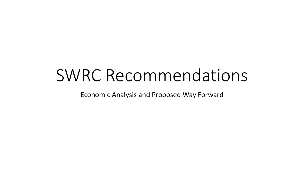# SWRC Recommendations

Economic Analysis and Proposed Way Forward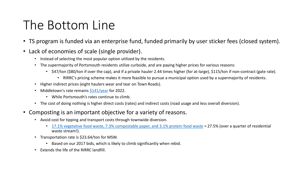## The Bottom Line

- TS program is funded via an enterprise fund, funded primarily by user sticker fees (closed system).
- Lack of economies of scale (single provider).
	- Instead of selecting the most popular option utilized by the residents.
	- The supermajority of Portsmouth residents utilize curbside, and are paying higher prices for various reasons:
		- \$47/ton (\$80/ton if over the cap), and if a private hauler 2.44 times higher (for at-large), \$115/ton if non-contract (gate rate).
			- RIRRC's pricing scheme makes it more feasible to pursue a municipal option used by a supermajority of residents.
	- Higher indirect prices (eight haulers wear and tear on Town Roads).
	- Middletown's rate remains [\\$141/year](https://middletownri.com/DocumentCenter/View/2699/2022-PAYT-application) for 2022.
		- While Portsmouth's rates continue to climb.
	- The cost of doing nothing is higher direct costs (rates) and indirect costs (road usage and less overall diversion).
- Composting is an important objective for a variety of reasons.
	- Avoid cost for tipping and transport costs through townwide diversion.
		- [17.1% vegetative food waste, 7.3% compostable paper, and 3.1% protein food waste](https://www.rirrc.org/sites/default/files/2017-02/Waste%20Characterization%20Study%202015.pdf) = 27.5% (over a quarter of residential waste stream!).
	- Transportation rate is \$23.64/ton for MSW.
		- Based on our 2017 bids, which is likely to climb significantly when rebid.
	- Extends the life of the RIRRC landfill.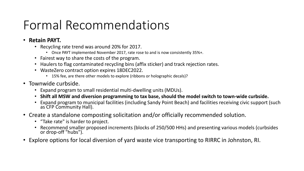#### Formal Recommendations

- **Retain PAYT.**
	- Recycling rate trend was around 20% for 2017.
		- Once PAYT implemented November 2017, rate rose to and is now consistently 35%+.
	- Fairest way to share the costs of the program.
	- Haulers to flag contaminated recycling bins (affix sticker) and track rejection rates.
	- WasteZero contract option expires 18DEC2022.
		- 15% fee, are there other models to explore (ribbons or holographic decals)?
- Townwide curbside.
	- Expand program to small residential multi-dwelling units (MDUs).
	- **Shift all MSW and diversion programming to tax base, should the model switch to town-wide curbside.**
	- Expand program to municipal facilities (including Sandy Point Beach) and facilities receiving civic support (such as CFP Community Hall).
- Create a standalone composting solicitation and/or officially recommended solution.
	- "Take rate" is harder to project.
	- Recommend smaller proposed increments (blocks of 250/500 HHs) and presenting various models (curbsides or drop-off "hubs").
- Explore options for local diversion of yard waste vice transporting to RIRRC in Johnston, RI.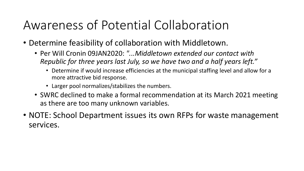#### Awareness of Potential Collaboration

- Determine feasibility of collaboration with Middletown.
	- Per Will Cronin 09JAN2020: *"...Middletown extended our contact with Republic for three years last July, so we have two and a half years left."*
		- Determine if would increase efficiencies at the municipal staffing level and allow for a more attractive bid response.
		- Larger pool normalizes/stabilizes the numbers.
	- SWRC declined to make a formal recommendation at its March 2021 meeting as there are too many unknown variables.
- NOTE: School Department issues its own RFPs for waste management services.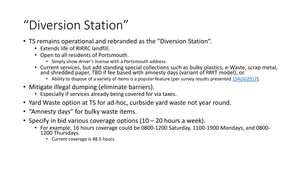## "Diversion Station"

- TS remains operational and rebranded as the "Diversion Station".
	- Extends life of RIRRC landfill.
	- Open to all residents of Portsmouth.
		- Simply show driver's license with a Portsmouth address.
	- Current services, but add standing special collections such as bulky plastics, e-Waste, scrap metal, and shredded paper, TBD if fee based with amnesty days (variant of PAYT model), or.
		- Ability to dispose of a variety of items is a popular feature [per survey results presented [15AUG2017](https://www.portsmouthri.com/AgendaCenter/ViewFile/Agenda/_08152017-820?html=true)].
- Mitigate illegal dumping (eliminate barriers).
	- Especially if services already being covered for via taxes.
- Yard Waste option at TS for ad-hoc, curbside yard waste not year round.
- "Amnesty days" for bulky waste items.
- Specify in bid various coverage options  $(10 20$  hours a week).
	- For example, 16 hours coverage could be 0800-1200 Saturday, 1100-1900 Mondays, and 0800- 1200 Thursdays.
		- Current coverage is 48.5 hours.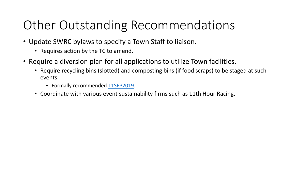## Other Outstanding Recommendations

- Update SWRC bylaws to specify a Town Staff to liaison.
	- Requires action by the TC to amend.
- Require a diversion plan for all applications to utilize Town facilities.
	- Require recycling bins (slotted) and composting bins (if food scraps) to be staged at such events.
		- Formally recommended [11SEP2019.](https://opengov.sos.ri.gov/Common/DownloadMeetingFiles?FilePath=%5CMinutes%5C5491%5C2019%5C348696.pdf)
	- Coordinate with various event sustainability firms such as 11th Hour Racing.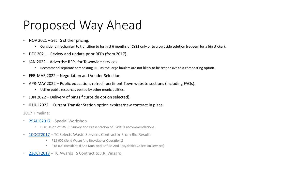#### Proposed Way Ahead

- NOV 2021 Set TS sticker pricing.
	- Consider a mechanism to transition to for first 6 months of CY22 only or to a curbside solution (redeem for a bin sticker).
- DEC 2021 Review and update prior RFPs (from 2017).
- JAN 2022 Advertise RFPs for Townwide services.
	- Recommend separate composting RFP as the large haulers are not likely to be responsive to a composting option.
- FEB-MAR 2022 Negotiation and Vender Selection.
- APR-MAY 2022 Public education, refresh pertinent Town website sections (including FAQs).
	- Utilize public resources posted by other municipalities.
- JUN 2022 Delivery of bins (if curbside option selected).
- 01JUL2022 Current Transfer Station option expires/new contract in place.

2017 Timeline:

- [29AUG2017](https://www.portsmouthri.com/AgendaCenter/ViewFile/Agenda/_08292017-826?html=true) Special Workshop.
	- Discussion of SWRC Survey and Presentation of SWRC's recommendations.
- 100CT2017 TC Selects Waste Services Contractor From Bid Results.
	- P18-002 (Solid Waste And Recyclables Operations)
	- P18-003 (Residential And Municipal Refuse And Recyclables Collection Services)
- 230CT2017 TC Awards TS Contract to J.R. Vinagro.